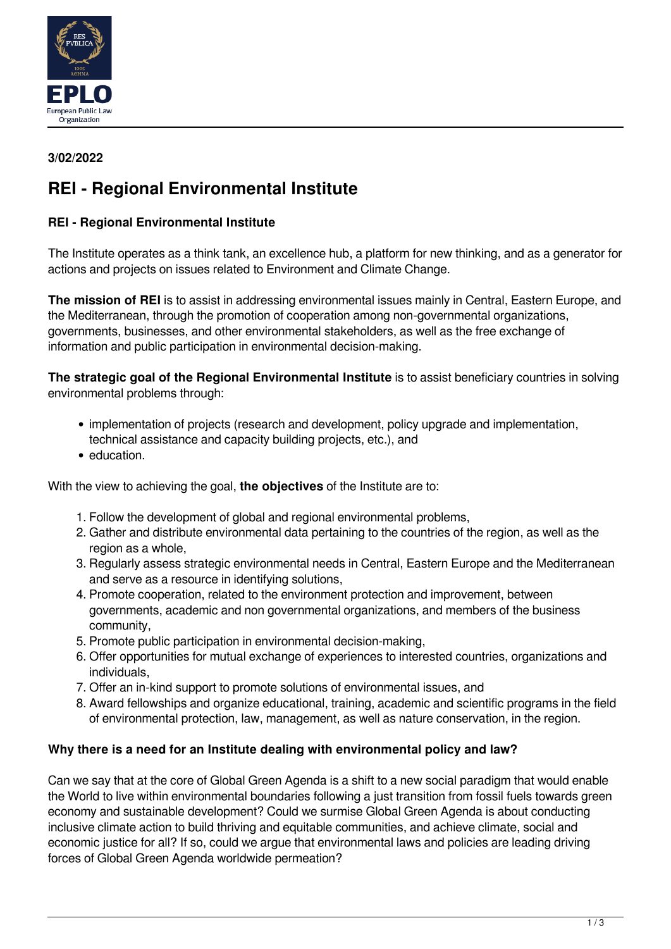

## **3/02/2022**

# **REI - Regional Environmental Institute**

## **REI - Regional Environmental Institute**

The Institute operates as a think tank, an excellence hub, a platform for new thinking, and as a generator for actions and projects on issues related to Environment and Climate Change.

**The mission of REI** is to assist in addressing environmental issues mainly in Central, Eastern Europe, and the Mediterranean, through the promotion of cooperation among non-governmental organizations, governments, businesses, and other environmental stakeholders, as well as the free exchange of information and public participation in environmental decision-making.

**The strategic goal of the Regional Environmental Institute** is to assist beneficiary countries in solving environmental problems through:

- implementation of projects (research and development, policy upgrade and implementation, technical assistance and capacity building projects, etc.), and
- education.

With the view to achieving the goal, **the objectives** of the Institute are to:

- 1. Follow the development of global and regional environmental problems,
- 2. Gather and distribute environmental data pertaining to the countries of the region, as well as the region as a whole,
- 3. Regularly assess strategic environmental needs in Central, Eastern Europe and the Mediterranean and serve as a resource in identifying solutions,
- 4. Promote cooperation, related to the environment protection and improvement, between governments, academic and non governmental organizations, and members of the business community,
- 5. Promote public participation in environmental decision-making,
- 6. Offer opportunities for mutual exchange of experiences to interested countries, organizations and individuals,
- 7. Offer an in-kind support to promote solutions of environmental issues, and
- 8. Award fellowships and organize educational, training, academic and scientific programs in the field of environmental protection, law, management, as well as nature conservation, in the region.

#### **Why there is a need for an Institute dealing with environmental policy and law?**

Can we say that at the core of Global Green Agenda is a shift to a new social paradigm that would enable the World to live within environmental boundaries following a just transition from fossil fuels towards green economy and sustainable development? Could we surmise Global Green Agenda is about conducting inclusive climate action to build thriving and equitable communities, and achieve climate, social and economic justice for all? If so, could we argue that environmental laws and policies are leading driving forces of Global Green Agenda worldwide permeation?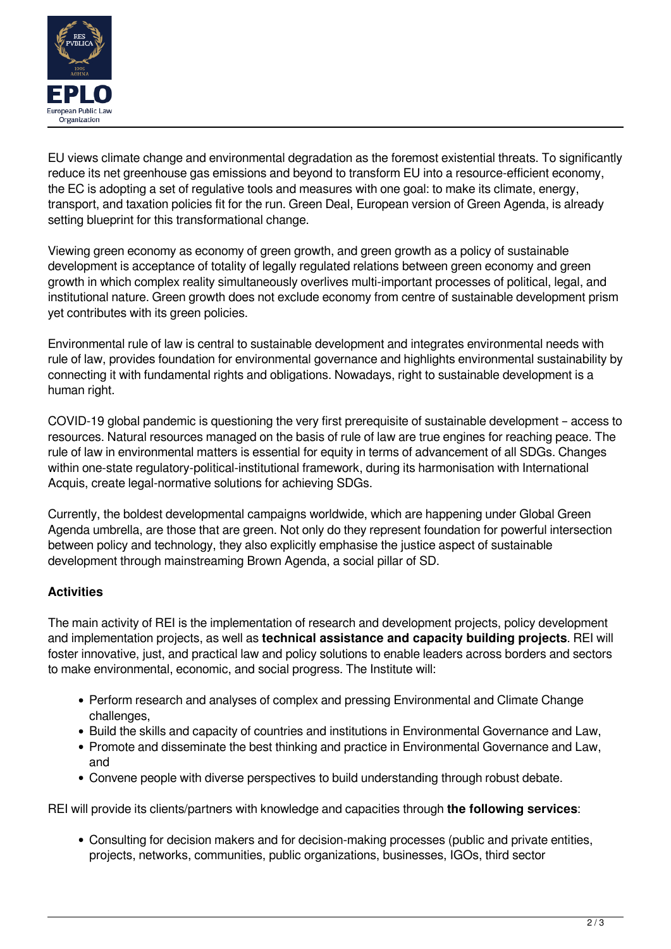

EU views climate change and environmental degradation as the foremost existential threats. To significantly reduce its net greenhouse gas emissions and beyond to transform EU into a resource-efficient economy, the EC is adopting a set of regulative tools and measures with one goal: to make its climate, energy, transport, and taxation policies fit for the run. Green Deal, European version of Green Agenda, is already setting blueprint for this transformational change.

Viewing green economy as economy of green growth, and green growth as a policy of sustainable development is acceptance of totality of legally regulated relations between green economy and green growth in which complex reality simultaneously overlives multi-important processes of political, legal, and institutional nature. Green growth does not exclude economy from centre of sustainable development prism yet contributes with its green policies.

Environmental rule of law is central to sustainable development and integrates environmental needs with rule of law, provides foundation for environmental governance and highlights environmental sustainability by connecting it with fundamental rights and obligations. Nowadays, right to sustainable development is a human right.

COVID-19 global pandemic is questioning the very first prerequisite of sustainable development – access to resources. Natural resources managed on the basis of rule of law are true engines for reaching peace. The rule of law in environmental matters is essential for equity in terms of advancement of all SDGs. Changes within one-state regulatory-political-institutional framework, during its harmonisation with International Acquis, create legal-normative solutions for achieving SDGs.

Currently, the boldest developmental campaigns worldwide, which are happening under Global Green Agenda umbrella, are those that are green. Not only do they represent foundation for powerful intersection between policy and technology, they also explicitly emphasise the justice aspect of sustainable development through mainstreaming Brown Agenda, a social pillar of SD.

# **Activities**

The main activity of REI is the implementation of research and development projects, policy development and implementation projects, as well as **technical assistance and capacity building projects**. REI will foster innovative, just, and practical law and policy solutions to enable leaders across borders and sectors to make environmental, economic, and social progress. The Institute will:

- Perform research and analyses of complex and pressing Environmental and Climate Change challenges,
- Build the skills and capacity of countries and institutions in Environmental Governance and Law,
- Promote and disseminate the best thinking and practice in Environmental Governance and Law, and
- Convene people with diverse perspectives to build understanding through robust debate.

REI will provide its clients/partners with knowledge and capacities through **the following services**:

Consulting for decision makers and for decision-making processes (public and private entities, projects, networks, communities, public organizations, businesses, IGOs, third sector